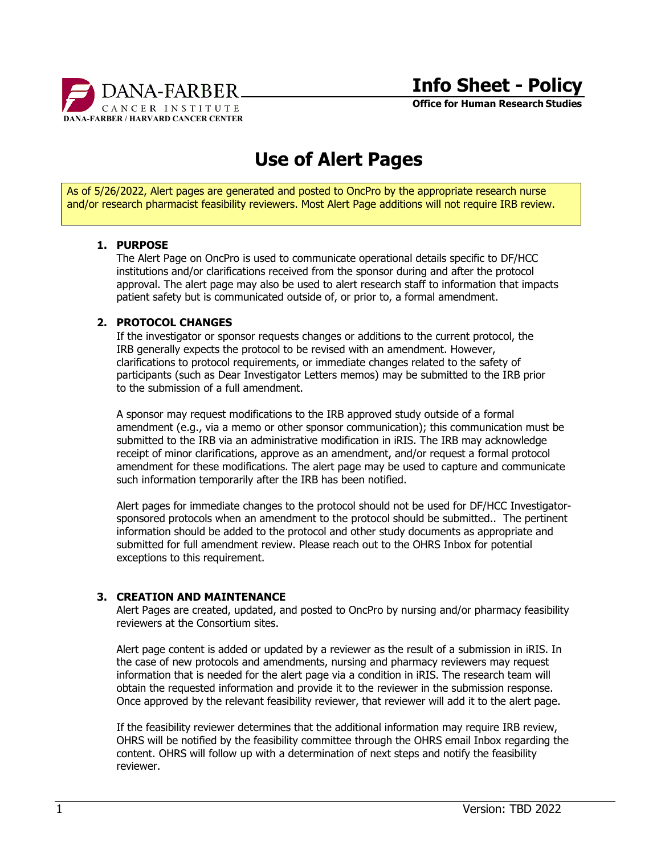

**Office for Human Research Studies**

# **Use of Alert Pages**

As of 5/26/2022, Alert pages are generated and posted to OncPro by the appropriate research nurse and/or research pharmacist feasibility reviewers. Most Alert Page additions will not require IRB review.

### **1. PURPOSE**

The Alert Page on OncPro is used to communicate operational details specific to DF/HCC institutions and/or clarifications received from the sponsor during and after the protocol approval. The alert page may also be used to alert research staff to information that impacts patient safety but is communicated outside of, or prior to, a formal amendment.

### **2. PROTOCOL CHANGES**

If the investigator or sponsor requests changes or additions to the current protocol, the IRB generally expects the protocol to be revised with an amendment. However, clarifications to protocol requirements, or immediate changes related to the safety of participants (such as Dear Investigator Letters memos) may be submitted to the IRB prior to the submission of a full amendment.

A sponsor may request modifications to the IRB approved study outside of a formal amendment (e.g., via a memo or other sponsor communication); this communication must be submitted to the IRB via an administrative modification in iRIS. The IRB may acknowledge receipt of minor clarifications, approve as an amendment, and/or request a formal protocol amendment for these modifications. The alert page may be used to capture and communicate such information temporarily after the IRB has been notified.

Alert pages for immediate changes to the protocol should not be used for DF/HCC Investigatorsponsored protocols when an amendment to the protocol should be submitted.. The pertinent information should be added to the protocol and other study documents as appropriate and submitted for full amendment review. Please reach out to the OHRS Inbox for potential exceptions to this requirement.

# **3. CREATION AND MAINTENANCE**

Alert Pages are created, updated, and posted to OncPro by nursing and/or pharmacy feasibility reviewers at the Consortium sites.

Alert page content is added or updated by a reviewer as the result of a submission in iRIS. In the case of new protocols and amendments, nursing and pharmacy reviewers may request information that is needed for the alert page via a condition in iRIS. The research team will obtain the requested information and provide it to the reviewer in the submission response. Once approved by the relevant feasibility reviewer, that reviewer will add it to the alert page.

If the feasibility reviewer determines that the additional information may require IRB review, OHRS will be notified by the feasibility committee through the OHRS email Inbox regarding the content. OHRS will follow up with a determination of next steps and notify the feasibility reviewer.